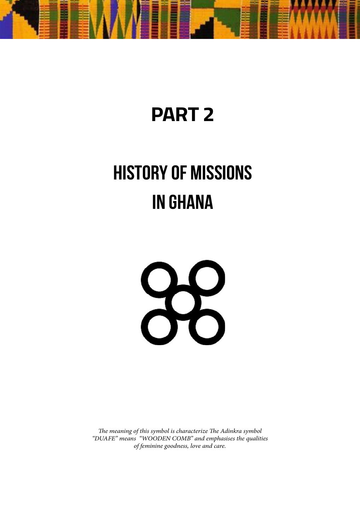

# **PART 2**

# **HISTORY OF MISSIONS IN GHANA**



*The meaning of this symbol is characterize The Adinkra symbol "DUAFE" means "WOODEN COMB" and emphasises the qualities of feminine goodness, love and care.*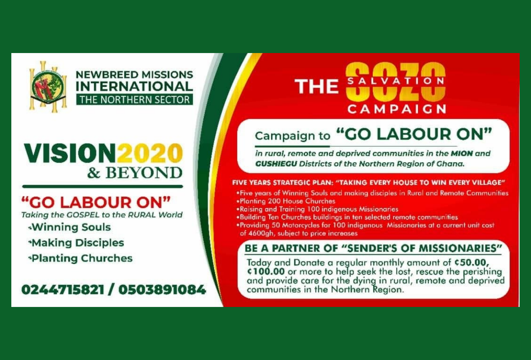

### **NEWBREED MISSIONS INTERNATIONAL** THE NORTHERN SECTOR

# VISION202 & BEYOND

## "GO LABOUR ON"

**Ghana Missions Handbook** – Past. Present. Future. Taking the GOSPEL to the RURAL World «Winning Souls \*Making Disciples **\*Planting Churches** 

0244715821 / 0503891084

# **THE** CAMPAIGN

# Campaign to "GO LABOUR ON"

in rural, remote and deprived communities in the MION and **GUSHIEGU** Districts of the Northern Region of Ghana.

#### FIVE YEARS STRATEGIC PLAN: "TAKING EVERY HOUSE TO WIN EVERY VILLAGE"

- . Five years of Winning Souls and making disciples in Rural and Remote Communities .Planting 200 House Churches
- . Raising and Training 100 indigenous Missionaries
- .Building Ten Churches buildings in ten selected remote communities
- . Providing 50 Motorcycles for 100 indigenous Missionaries at a current unit cost of 4600gh, subject to price increases

### BE A PARTNER OF "SENDER'S OF MISSIONARIES"

Today and Donate a regular monthly amount of C50.00,<br>C100.00 or more to help seek the lost, rescue the perishing<br>and provide care for the dying in rural, remote and deprived<br>communities in the Northern Region.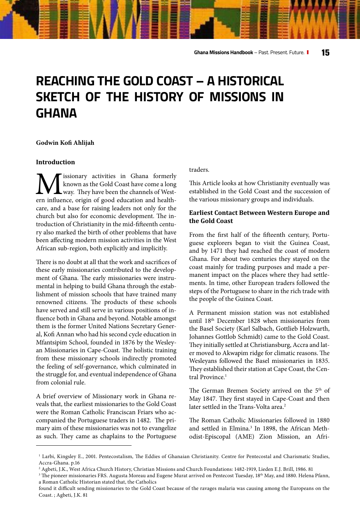## **REACHING THE GOLD COAST – A HISTORICAL SKETCH OF THE HISTORY OF MISSIONS IN GHANA**

#### **Godwin Kofi Ahlijah**

#### **Introduction**

issionary activities in Ghana formerly known as the Gold Coast have come a long way. They have been the channels of Western influence, origin of good education and healthcare, and a base for raising leaders not only for the church but also for economic development. The introduction of Christianity in the mid-fifteenth century also marked the birth of other problems that have been affecting modern mission activities in the West African sub-region, both explicitly and implicitly.

There is no doubt at all that the work and sacrifices of these early missionaries contributed to the development of Ghana. The early missionaries were instrumental in helping to build Ghana through the establishment of mission schools that have trained many renowned citizens. The products of these schools have served and still serve in various positions of influence both in Ghana and beyond. Notable amongst them is the former United Nations Secretary General, Kofi Annan who had his second cycle education in Mfantsipim School, founded in 1876 by the Wesleyan Missionaries in Cape-Coast. The holistic training from these missionary schools indirectly promoted the feeling of self-governance, which culminated in the struggle for, and eventual independence of Ghana from colonial rule.

A brief overview of Missionary work in Ghana reveals that, the earliest missionaries to the Gold Coast were the Roman Catholic Franciscan Friars who accompanied the Portuguese traders in 1482. The primary aim of these missionaries was not to evangelize as such. They came as chaplains to the Portuguese

#### traders.

This Article looks at how Christianity eventually was established in the Gold Coast and the succession of the various missionary groups and individuals.

#### **Earliest Contact Between Western Europe and the Gold Coast**

From the first half of the fifteenth century, Portuguese explorers began to visit the Guinea Coast, and by 1471 they had reached the coast of modern Ghana. For about two centuries they stayed on the coast mainly for trading purposes and made a permanent impact on the places where they had settlements. In time, other European traders followed the steps of the Portuguese to share in the rich trade with the people of the Guinea Coast.

A Permanent mission station was not established until 18th December 1828 when missionaries from the Basel Society (Karl Salbach, Gottlieb Holzwarth, Johannes Gottlob Schmidt) came to the Gold Coast. They initially settled at Christiansburg, Accra and later moved to Akwapim ridge for climatic reasons. The Wesleyans followed the Basel missionaries in 1835. They established their station at Cape Coast, the Central Province.<sup>1</sup>

The German Bremen Society arrived on the 5<sup>th</sup> of May 1847. They first stayed in Cape-Coast and then later settled in the Trans-Volta area.<sup>2</sup>

The Roman Catholic Missionaries followed in 1880 and settled in Elmina.<sup>3</sup> In 1898, the African Methodist-Episcopal (AME) Zion Mission, an Afri-

<sup>&</sup>lt;sup>1</sup> Larbi, Kingsley E., 2001. Pentecostalism, The Eddies of Ghanaian Christianity. Centre for Pentecostal and Charismatic Studies, Accra-Ghana. p.16

<sup>2</sup> Agbeti, J.K., West Africa Church History, Christian Missions and Church Foundations: 1482-1919, Lieden E.J. Brill, 1986. 81

<sup>&</sup>lt;sup>3</sup> The pioneer missionaries FRS. Augusta Moreau and Eugene Murat arrived on Pentecost Tuesday, 18<sup>th</sup> May, and 1880. Helena Pfann, a Roman Catholic Historian stated that, the Catholics

found it difficult sending missionaries to the Gold Coast because of the ravages malaria was causing among the Europeans on the Coast. ; Agbeti, J.K. 81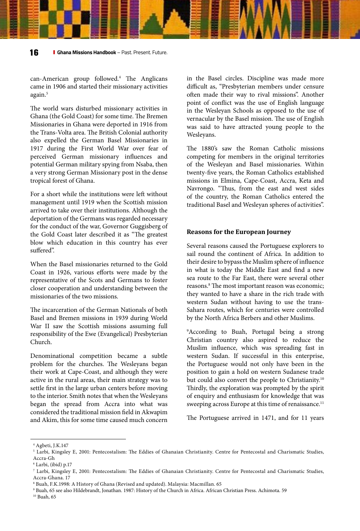can-American group followed.4 The Anglicans came in 1906 and started their missionary activities again.<sup>5</sup>

The world wars disturbed missionary activities in Ghana (the Gold Coast) for some time. The Bremen Missionaries in Ghana were deported in 1916 from the Trans-Volta area. The British Colonial authority also expelled the German Basel Missionaries in 1917 during the First World War over fear of perceived German missionary influences and potential German military spying from Nsaba, then a very strong German Missionary post in the dense tropical forest of Ghana.

For a short while the institutions were left without management until 1919 when the Scottish mission arrived to take over their institutions. Although the deportation of the Germans was regarded necessary for the conduct of the war, Governor Guggisberg of the Gold Coast later described it as "The greatest blow which education in this country has ever suffered".

When the Basel missionaries returned to the Gold Coast in 1926, various efforts were made by the representative of the Scots and Germans to foster closer cooperation and understanding between the missionaries of the two missions.

The incarceration of the German Nationals of both Basel and Bremen missions in 1939 during World War II saw the Scottish missions assuming full responsibility of the Ewe (Evangelical) Presbyterian Church.

Denominational competition became a subtle problem for the churches. The Wesleyans began their work at Cape-Coast, and although they were active in the rural areas, their main strategy was to settle first in the large urban centers before moving to the interior. Smith notes that when the Wesleyans began the spread from Accra into what was considered the traditional mission field in Akwapim and Akim, this for some time caused much concern

in the Basel circles. Discipline was made more difficult as, "Presbyterian members under censure often made their way to rival missions". Another point of conflict was the use of English language in the Wesleyan Schools as opposed to the use of vernacular by the Basel mission. The use of English was said to have attracted young people to the Wesleyans.

The 1880's saw the Roman Catholic missions competing for members in the original territories of the Wesleyan and Basel missionaries. Within twenty-five years, the Roman Catholics established missions in Elmina, Cape-Coast, Accra, Keta and Navrongo. "Thus, from the east and west sides of the country, the Roman Catholics entered the traditional Basel and Wesleyan spheres of activities".

#### **Reasons for the European Journey**

Several reasons caused the Portuguese explorers to sail round the continent of Africa. In addition to their desire to bypass the Muslim sphere of influence in what is today the Middle East and find a new sea route to the Far East, there were several other reasons.<sup>8</sup> The most important reason was economic; they wanted to have a share in the rich trade with western Sudan without having to use the trans-Sahara routes, which for centuries were controlled by the North Africa Berbers and other Muslims.

9 According to Buah, Portugal being a strong Christian country also aspired to reduce the Muslim influence, which was spreading fast in western Sudan. If successful in this enterprise, the Portuguese would not only have been in the position to gain a hold on western Sudanese trade but could also convert the people to Christianity.<sup>10</sup> Thirdly, the exploration was prompted by the spirit of enquiry and enthusiasm for knowledge that was sweeping across Europe at this time of renaissance.<sup>11</sup>

The Portuguese arrived in 1471, and for 11 years

<sup>10</sup> Buah, 65

<sup>4</sup> Agbeti, J.K.147

<sup>5</sup> Larbi, Kingsley E, 2001: Pentecostalism: The Eddies of Ghanaian Christianity. Centre for Pentecostal and Charismatic Studies, Accra-Gh

<sup>6</sup> Larbi, (ibid) p.17

<sup>7</sup> Larbi, Kingsley E, 2001: Pentecostalism: The Eddies of Ghanaian Christianity. Centre for Pentecostal and Charismatic Studies, Accra-Ghana. 17

<sup>8</sup> Buah, F.K.1998: A History of Ghana (Revised and updated). Malaysia: Macmillan. 65

<sup>9</sup> Buah, 65 see also Hildebrandt, Jonathan. 1987: History of the Church in Africa. African Christian Press. Achimota. 59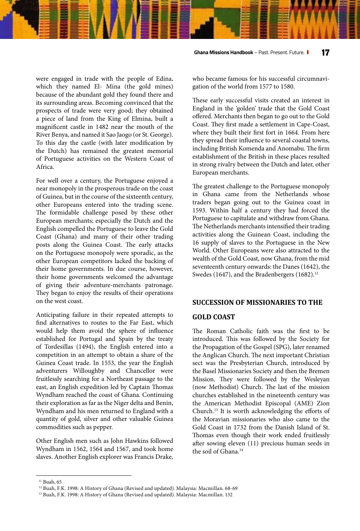were engaged in trade with the people of Edina, which they named El- Mina (the gold mines) because of the abundant gold they found there and its surrounding areas. Becoming convinced that the prospects of trade were very good; they obtained a piece of land from the King of Elmina, built a magnificent castle in 1482 near the mouth of the River Benya, and named it Sao Jaogo (or St. George). To this day the castle (with later modification by the Dutch) has remained the greatest memorial of Portuguese activities on the Western Coast of Africa.

For well over a century, the Portuguese enjoyed a near monopoly in the prosperous trade on the coast of Guinea, but in the course of the sixteenth century, other Europeans entered into the trading scene. The formidable challenge posed by these other European merchants; especially the Dutch and the English compelled the Portuguese to leave the Gold Coast (Ghana) and many of their other trading posts along the Guinea Coast. The early attacks on the Portuguese monopoly were sporadic, as the other European competitors lacked the backing of their home governments. In due course, however, their home governments welcomed the advantage of giving their adventure-merchants patronage. They began to enjoy the results of their operations on the west coast.

Anticipating failure in their repeated attempts to find alternatives to routes to the Far East, which would help them avoid the sphere of influence established for Portugal and Spain by the treaty of Tordesillas (1494), the English entered into a competition in an attempt to obtain a share of the Guinea Coast trade. In 1553, the year the English adventurers Willoughby and Chancellor were fruitlessly searching for a Northeast passage to the east, an English expedition led by Captain Thomas Wyndham reached the coast of Ghana. Continuing their exploration as far as the Niger delta and Benin, Wyndham and his men returned to England with a quantity of gold, silver and other valuable Guinea commodities such as pepper.

Other English men such as John Hawkins followed Wyndham in 1562, 1564 and 1567, and took home slaves. Another English explorer was Francis Drake, who became famous for his successful circumnavigation of the world from 1577 to 1580.

These early successful visits created an interest in England in the 'golden' trade that the Gold Coast offered. Merchants then began to go out to the Gold Coast. They first made a settlement in Cape-Coast, where they built their first fort in 1664. From here they spread their influence to several coastal towns, including British Komenda and Anomabu. The firm establishment of the British in these places resulted in strong rivalry between the Dutch and later, other European merchants.

The greatest challenge to the Portuguese monopoly in Ghana came from the Netherlands whose traders began going out to the Guinea coast in 1593. Within half a century they had forced the Portuguese to capitulate and withdraw from Ghana. The Netherlands merchants intensified their trading activities along the Guinean Coast, including the 16 supply of slaves to the Portuguese in the New World. Other Europeans were also attracted to the wealth of the Gold Coast, now Ghana, from the mid seventeenth century onwards: the Danes (1642), the Swedes (1647), and the Bradenbergers (1682).<sup>12</sup>

#### **SUCCESSION OF MISSIONARIES TO THE**

#### **GOLD COAST**

The Roman Catholic faith was the first to be introduced. This was followed by the Society for the Propagation of the Gospel (SPG), later renamed the Anglican Church. The next important Christian sect was the Presbyterian Church, introduced by the Basel Missionaries Society and then the Bremen Mission. They were followed by the Wesleyan (now Methodist) Church. The last of the mission churches established in the nineteenth century was the American Methodist Episcopal (AME) Zion Church.13 It is worth acknowledging the efforts of the Moravian missionaries who also came to the Gold Coast in 1732 from the Danish Island of St. Thomas even though their work ended fruitlessly after sowing eleven (11) precious human seeds in the soil of Ghana.<sup>14</sup>

<sup>&</sup>lt;sup>11</sup> Buah, 65

<sup>&</sup>lt;sup>12</sup> Buah, F.K. 1998: A History of Ghana (Revised and updated). Malaysia: Macmillan. 68-69

<sup>&</sup>lt;sup>13</sup> Buah, F.K. 1998: A History of Ghana (Revised and updated). Malaysia: Macmillan. 132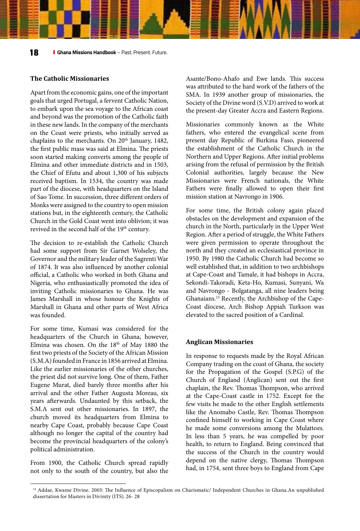#### **The Catholic Missionaries**

Apart from the economic gains, one of the important goals that urged Portugal, a fervent Catholic Nation, to embark upon the sea voyage to the African coast and beyond was the promotion of the Catholic faith in these new lands. In the company of the merchants on the Coast were priests, who initially served as chaplains to the merchants. On 20<sup>th</sup> January, 1482, the first public mass was said at Elmina. The priests soon started making converts among the people of Elmina and other immediate districts and in 1503, the Chief of Efutu and about 1,300 of his subjects received baptism. In 1534, the country was made part of the diocese, with headquarters on the Island of Sao Tome. In succession, three different orders of Monks were assigned to the country to open mission stations but, in the eighteenth century, the Catholic Church in the Gold Coast went into oblivion; it was revived in the second half of the 19<sup>th</sup> century.

The decision to re-establish the Catholic Church had some support from Sir Garnet Wolseley, the Governor and the military leader of the Sagrenti War of 1874. It was also influenced by another colonial official, a Catholic who worked in both Ghana and Nigeria, who enthusiastically promoted the idea of inviting Catholic missionaries to Ghana. He was James Marshall in whose honour the Knights of Marshall in Ghana and other parts of West Africa was founded.

For some time, Kumasi was considered for the headquarters of the Church in Ghana, however, Elmina was chosen. On the 18<sup>th</sup> of May 1880 the first two priests of the Society of the African Mission (S.M.A) founded in France in 1856 arrived at Elmina. Like the earlier missionaries of the other churches, the priest did not survive long. One of them, Father Eugene Murat, died barely three months after his arrival and the other Father Augusta Moreau, six years afterwards. Undaunted by this setback, the S.M.A sent out other missionaries. In 1897, the church moved its headquarters from Elmina to nearby Cape Coast, probably because Cape Coast although no longer the capital of the country had become the provincial headquarters of the colony's political administration.

From 1900, the Catholic Church spread rapidly not only to the south of the country, but also the Asante/Bono-Ahafo and Ewe lands. This success was attributed to the hard work of the fathers of the SMA. In 1939 another group of missionaries, the Society of the Divine word (S.V.D) arrived to work at the present-day Greater Accra and Eastern Regions.

Missionaries commonly known as the White fathers, who entered the evangelical scene from present day Republic of Burkina Faso, pioneered the establishment of the Catholic Church in the Northern and Upper Regions. After initial problems arising from the refusal of permission by the British Colonial authorities, largely because the New Missionaries were French nationals, the White Fathers were finally allowed to open their first mission station at Navrongo in 1906.

For some time, the British colony again placed obstacles on the development and expansion of the church in the North, particularly in the Upper West Region. After a period of struggle, the White Fathers were given permission to operate throughout the north and they created an ecclesiastical province in 1950. By 1980 the Catholic Church had become so well established that, in addition to two archbishops at Cape-Coast and Tamale, it had bishops in Accra, Sekondi-Takoradi, Keta-Ho, Kumasi, Sunyani, Wa and Navrongo - Bolgatanga, all nine leaders being Ghanaians.15 Recently, the Archbishop of the Cape-Coast diocese, Arch Bishop Appiah Turkson was elevated to the sacred position of a Cardinal.

#### **Anglican Missionaries**

In response to requests made by the Royal African Company trading on the coast of Ghana, the society for the Propagation of the Gospel (S.P.G) of the Church of England (Anglican) sent out the first chaplain, the Rev. Thomas Thompson, who arrived at the Cape-Coast castle in 1752. Except for the few visits he made to the other English settlements like the Anomabo Castle, Rev. Thomas Thompson confined himself to working in Cape Coast where he made some conversions among the Mulattoes. In less than 5 years, he was compelled by poor health, to return to England. Being convinced that the success of the Church in the country would depend on the native clergy, Thomas Thompson had, in 1754, sent three boys to England from Cape

<sup>&</sup>lt;sup>14</sup> Addae, Kwame Divine. 2003: The Influence of Episcopalism on Charismatic/ Independent Churches in Ghana.An unpublished dissertation for Masters in Divinity (ITS). 26- 28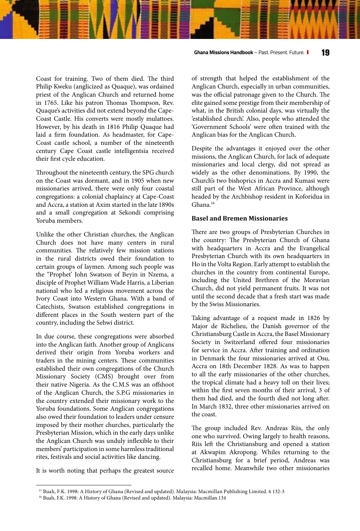Coast for training. Two of them died. The third Philip Kweku (anglicized as Quaque), was ordained priest of the Anglican Church and returned home in 1765. Like his patron Thomas Thompson, Rev. Quaque's activities did not extend beyond the Cape-Coast Castle. His converts were mostly mulattoes. However, by his death in 1816 Philip Quaque had laid a firm foundation. As headmaster, for Cape-Coast castle school, a number of the nineteenth century Cape Coast castle intelligentsia received their first cycle education.

Throughout the nineteenth century, the SPG church on the Coast was dormant, and in 1905 when new missionaries arrived, there were only four coastal congregations: a colonial chaplaincy at Cape-Coast and Accra, a station at Axim started in the late 1890s and a small congregation at Sekondi comprising Yoruba members.

Unlike the other Christian churches, the Anglican Church does not have many centers in rural communities. The relatively few mission stations in the rural districts owed their foundation to certain groups of laymen. Among such people was the "Prophet' John Swatson of Beyin in Nzema, a disciple of Prophet William Wade Harris, a Liberian national who led a religious movement across the Ivory Coast into Western Ghana. With a band of Catechists, Swatson established congregations in different places in the South western part of the country, including the Sehwi district.

In due course, these congregations were absorbed into the Anglican faith. Another group of Anglicans derived their origin from Yoruba workers and traders in the mining centers. These communities established their own congregations of the Church Missionary Society (CMS) brought over from their native Nigeria. As the C.M.S was an offshoot of the Anglican Church, the S.P.G missionaries in the country extended their missionary work to the Yoruba foundations. Some Anglican congregations also owed their foundation to leaders under censure imposed by their mother churches, particularly the Presbyterian Mission, which in the early days unlike the Anglican Church was unduly inflexible to their members' participation in some harmless traditional rites, festivals and social activities like dancing.

It is worth noting that perhaps the greatest source

of strength that helped the establishment of the Anglican Church, especially in urban communities, was the official patronage given to the Church. The elite gained some prestige from their membership of what, in the British colonial days, was virtually the 'established church'. Also, people who attended the 'Government Schools' were often trained with the Anglican bias for the Anglican Church.

Despite the advantages it enjoyed over the other missions, the Anglican Church, for lack of adequate missionaries and local clergy, did not spread as widely as the other denominations. By 1990, the Church's two bishoprics in Accra and Kumasi were still part of the West African Province, although headed by the Archbishop resident in Koforidua in Ghana.16

#### **Basel and Bremen Missionaries**

There are two groups of Presbyterian Churches in the country: The Presbyterian Church of Ghana with headquarters in Accra and the Evangelical Presbyterian Church with its own headquarters in Ho in the Volta Region. Early attempt to establish the churches in the country from continental Europe, including the United Brethren of the Moravian Church, did not yield permanent fruits. It was not until the second decade that a fresh start was made by the Swiss Missionaries.

Taking advantage of a request made in 1826 by Major de Richelieu, the Danish governor of the Christiansburg Castle in Accra, the Basel Missionary Society in Switzerland offered four missionaries for service in Accra. After training and ordination in Denmark the four missionaries arrived at Osu, Accra on 18th December 1828. As was to happen to all the early missionaries of the other churches, the tropical climate had a heavy toll on their lives; within the first seven months of their arrival, 3 of them had died, and the fourth died not long after. In March 1832, three other missionaries arrived on the coast.

The group included Rev. Andreas Riis, the only one who survived. Owing largely to health reasons, Riis left the Christiansburg and opened a station at Akwapim Akropong. Whiles returning to the Christiansburg for a brief period, Andreas was recalled home. Meanwhile two other missionaries

<sup>15</sup> Buah, F.K. 1998: A History of Ghana (Revised and updated). Malaysia: Macmillan Publishing Limited. 6 132-3

<sup>&</sup>lt;sup>16</sup> Buah, F.K. 1998: A History of Ghana (Revised and updated). Malaysia: Macmillan.134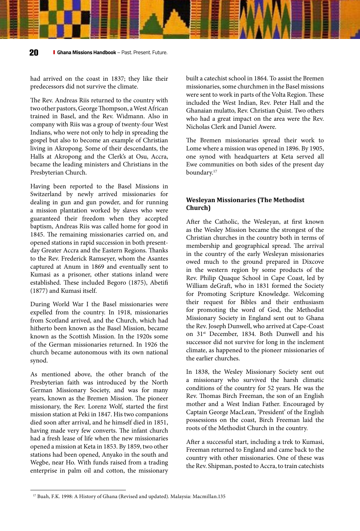had arrived on the coast in 1837; they like their predecessors did not survive the climate.

The Rev. Andreas Riis returned to the country with two other pastors, George Thompson, a West African trained in Basel, and the Rev. Widmann. Also in company with Riis was a group of twenty-four West Indians, who were not only to help in spreading the gospel but also to become an example of Christian living in Akropong. Some of their descendants, the Halls at Akropong and the Clerk's at Osu, Accra, became the leading ministers and Christians in the Presbyterian Church.

Having been reported to the Basel Missions in Switzerland by newly arrived missionaries for dealing in gun and gun powder, and for running a mission plantation worked by slaves who were guaranteed their freedom when they accepted baptism, Andreas Riis was called home for good in 1845. The remaining missionaries carried on, and opened stations in rapid succession in both presentday Greater Accra and the Eastern Regions. Thanks to the Rev. Frederick Ramseyer, whom the Asantes captured at Anum in 1869 and eventually sent to Kumasi as a prisoner, other stations inland were established. These included Begoro (1875), Abetifi (1877) and Kumasi itself.

During World War I the Basel missionaries were expelled from the country. In 1918, missionaries from Scotland arrived, and the Church, which had hitherto been known as the Basel Mission, became known as the Scottish Mission. In the 1920s some of the German missionaries returned. In 1926 the church became autonomous with its own national synod.

As mentioned above, the other branch of the Presbyterian faith was introduced by the North German Missionary Society, and was for many years, known as the Bremen Mission. The pioneer missionary, the Rev. Lorenz Wolf, started the first mission station at Peki in 1847. His two companions died soon after arrival, and he himself died in 1851, having made very few converts. The infant church had a fresh lease of life when the new missionaries opened a mission at Keta in 1853. By 1859, two other stations had been opened, Anyako in the south and Wegbe, near Ho. With funds raised from a trading enterprise in palm oil and cotton, the missionary

built a catechist school in 1864. To assist the Bremen missionaries, some churchmen in the Basel missions were sent to work in parts of the Volta Region. These included the West Indian, Rev. Peter Hall and the Ghanaian mulatto, Rev. Christian Quist. Two others who had a great impact on the area were the Rev. Nicholas Clerk and Daniel Awere.

The Bremen missionaries spread their work to Lome where a mission was opened in 1896. By 1905, one synod with headquarters at Keta served all Ewe communities on both sides of the present day boundary.17

#### **Wesleyan Missionaries (The Methodist Church)**

After the Catholic, the Wesleyan, at first known as the Wesley Mission became the strongest of the Christian churches in the country both in terms of membership and geographical spread. The arrival in the country of the early Wesleyan missionaries owed much to the ground prepared in Dixcove in the western region by some products of the Rev. Philip Quaque School in Cape Coast, led by William deGraft, who in 1831 formed the Society for Promoting Scripture Knowledge. Welcoming their request for Bibles and their enthusiasm for promoting the word of God, the Methodist Missionary Society in England sent out to Ghana the Rev. Joseph Dunwell, who arrived at Cape-Coast on 31<sup>st</sup> December, 1834. Both Dunwell and his successor did not survive for long in the inclement climate, as happened to the pioneer missionaries of the earlier churches.

In 1838, the Wesley Missionary Society sent out a missionary who survived the harsh climatic conditions of the country for 52 years. He was the Rev. Thomas Birch Freeman, the son of an English mother and a West Indian Father. Encouraged by Captain George MacLean, 'President' of the English possessions on the coast, Birch Freeman laid the roots of the Methodist Church in the country.

After a successful start, including a trek to Kumasi, Freeman returned to England and came back to the country with other missionaries. One of these was the Rev. Shipman, posted to Accra, to train catechists

<sup>17</sup> Buah, F.K. 1998: A History of Ghana (Revised and updated). Malaysia: Macmillan.135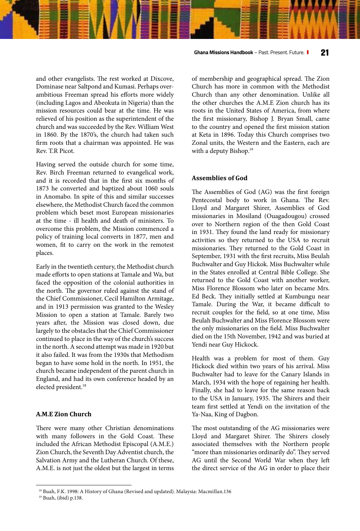and other evangelists. The rest worked at Dixcove, Dominase near Saltpond and Kumasi. Perhaps overambitious Freeman spread his efforts more widely (including Lagos and Abeokuta in Nigeria) than the mission resources could bear at the time. He was relieved of his position as the superintendent of the church and was succeeded by the Rev. William West in 1860. By the 1870's, the church had taken such firm roots that a chairman was appointed. He was Rev. T.R Picot.

Having served the outside church for some time, Rev. Birch Freeman returned to evangelical work, and it is recorded that in the first six months of 1873 he converted and baptized about 1060 souls in Anomabo. In spite of this and similar successes elsewhere, the Methodist Church faced the common problem which beset most European missionaries at the time - ill health and death of ministers. To overcome this problem, the Mission commenced a policy of training local converts in 1877, men and women, fit to carry on the work in the remotest places.

Early in the twentieth century, the Methodist church made efforts to open stations at Tamale and Wa, but faced the opposition of the colonial authorities in the north. The governor ruled against the stand of the Chief Commissioner, Cecil Hamilton Armitage, and in 1913 permission was granted to the Wesley Mission to open a station at Tamale. Barely two years after, the Mission was closed down, due largely to the obstacles that the Chief Commissioner continued to place in the way of the church's success in the north. A second attempt was made in 1920 but it also failed. It was from the 1930s that Methodism began to have some hold in the north. In 1951, the church became independent of the parent church in England, and had its own conference headed by an elected president.18

#### **A.M.E Zion Church**

There were many other Christian denominations with many followers in the Gold Coast. These included the African Methodist Episcopal (A.M.E.) Zion Church, the Seventh Day Adventist church, the Salvation Army and the Lutheran Church. Of these, A.M.E. is not just the oldest but the largest in terms of membership and geographical spread. The Zion Church has more in common with the Methodist Church than any other denomination. Unlike all the other churches the A.M.E Zion church has its roots in the United States of America, from where the first missionary, Bishop J. Bryan Small, came to the country and opened the first mission station at Keta in 1896. Today this Church comprises two Zonal units, the Western and the Eastern, each are with a deputy Bishop.<sup>19</sup>

#### **Assemblies of God**

The Assemblies of God (AG) was the first foreign Pentecostal body to work in Ghana. The Rev. Lloyd and Margaret Shirer, Assemblies of God missionaries in Mosiland (Ouagadougou) crossed over to Northern region of the then Gold Coast in 1931. They found the land ready for missionary activities so they returned to the USA to recruit missionaries. They returned to the Gold Coast in September, 1931 with the first recruits, Miss Beulah Buchwalter and Guy Hickok. Miss Buchwalter while in the States enrolled at Central Bible College. She returned to the Gold Coast with another worker, Miss Florence Blossom who later on became Mrs. Ed Beck. They initially settled at Kumbungu near Tamale. During the War, it became difficult to recruit couples for the field, so at one time, Miss Beulah Buchwalter and Miss Florence Blossom were the only missionaries on the field. Miss Buchwalter died on the 15th November, 1942 and was buried at Yendi near Guy Hickock.

Health was a problem for most of them. Guy Hickock died within two years of his arrival. Miss Buchwalter had to leave for the Canary Islands in March, 1934 with the hope of regaining her health. Finally, she had to leave for the same reason back to the USA in January, 1935. The Shirers and their team first settled at Yendi on the invitation of the Ya-Naa, King of Dagbon.

The most outstanding of the AG missionaries were Lloyd and Margaret Shirer. The Shirers closely associated themselves with the Northern people "more than missionaries ordinarily do". They served AG until the Second World War when they left the direct service of the AG in order to place their

#### **Ghana Missions Handbook** – Past. Present. Future. **21**

<sup>18</sup> Buah, F.K. 1998: A History of Ghana (Revised and updated). Malaysia: Macmillan.136

<sup>19</sup> Buah, (ibid) p.138.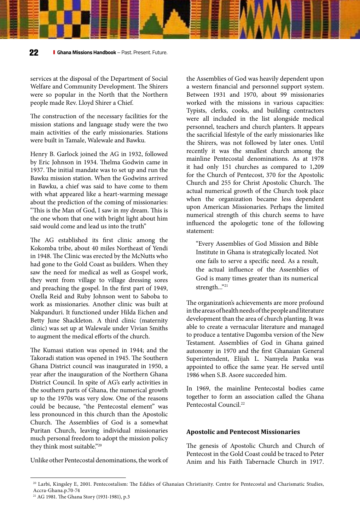services at the disposal of the Department of Social Welfare and Community Development. The Shirers were so popular in the North that the Northern people made Rev. Lloyd Shirer a Chief.

The construction of the necessary facilities for the mission stations and language study were the two main activities of the early missionaries. Stations were built in Tamale, Walewale and Bawku.

Henry B. Garlock joined the AG in 1932, followed by Eric Johnson in 1934. Thelma Godwin came in 1937. The initial mandate was to set up and run the Bawku mission station. When the Godwins arrived in Bawku, a chief was said to have come to them with what appeared like a heart-warming message about the prediction of the coming of missionaries: "This is the Man of God, I saw in my dream. This is the one whom that one with bright light about him said would come and lead us into the truth"

The AG established its first clinic among the Kokomba tribe, about 40 miles Northeast of Yendi in 1948. The Clinic was erected by the McNutts who had gone to the Gold Coast as builders. When they saw the need for medical as well as Gospel work, they went from village to village dressing sores and preaching the gospel. In the first part of 1949, Ozella Reid and Ruby Johnson went to Saboba to work as missionaries. Another clinic was built at Nakpanduri. It functioned under Hilda Eichen and Betty June Shackleton. A third clinic (maternity clinic) was set up at Walewale under Vivian Smiths to augment the medical efforts of the church.

The Kumasi station was opened in 1944; and the Takoradi station was opened in 1945. The Southern Ghana District council was inaugurated in 1950, a year after the inauguration of the Northern Ghana District Council. In spite of AG's early activities in the southern parts of Ghana, the numerical growth up to the 1970s was very slow. One of the reasons could be because, "the Pentecostal element" was less pronounced in this church than the Apostolic Church. The Assemblies of God is a somewhat Puritan Church, leaving individual missionaries much personal freedom to adopt the mission policy they think most suitable."<sup>20</sup>

Unlike other Pentecostal denominations, the work of

the Assemblies of God was heavily dependent upon a western financial and personnel support system. Between 1931 and 1970, about 99 missionaries worked with the missions in various capacities: Typists, clerks, cooks, and building contractors were all included in the list alongside medical personnel, teachers and church planters. It appears the sacrificial lifestyle of the early missionaries like the Shirers, was not followed by later ones. Until recently it was the smallest church among the mainline Pentecostal denominations. As at 1978 it had only 151 churches as compared to 1,209 for the Church of Pentecost, 370 for the Apostolic Church and 255 for Christ Apostolic Church. The actual numerical growth of the Church took place when the organization became less dependent upon American Missionaries. Perhaps the limited numerical strength of this church seems to have influenced the apologetic tone of the following statement:

"Every Assemblies of God Mission and Bible Institute in Ghana is strategically located. Not one fails to serve a specific need. As a result, the actual influence of the Assemblies of God is many times greater than its numerical strength..."21

The organization's achievements are more profound in the areas of health needs of the people and literature development than the area of church planting. It was able to create a vernacular literature and managed to produce a tentative Dagomba version of the New Testament. Assemblies of God in Ghana gained autonomy in 1970 and the first Ghanaian General Superintendent, Elijah L. Namyela Panka was appointed to office the same year. He served until 1986 when S.B. Asore succeeded him.

In 1969, the mainline Pentecostal bodies came together to form an association called the Ghana Pentecostal Council.<sup>22</sup>

#### **Apostolic and Pentecost Missionaries**

The genesis of Apostolic Church and Church of Pentecost in the Gold Coast could be traced to Peter Anim and his Faith Tabernacle Church in 1917.

<sup>20</sup> Larbi, Kingsley E, 2001. Pentecostalism: The Eddies of Ghanaian Christianity. Centre for Pentecostal and Charismatic Studies, Accra-Ghana.p.70-74

<sup>21</sup> AG 1981. The Ghana Story (1931-1981), p.3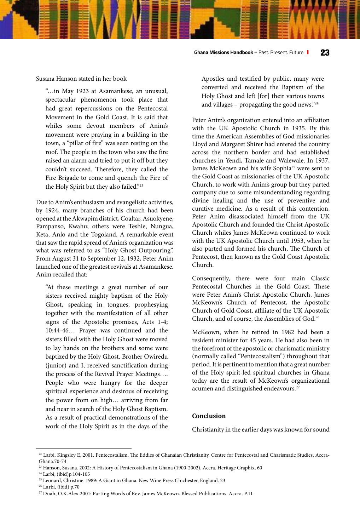Susana Hanson stated in her book

"…in May 1923 at Asamankese, an unusual, spectacular phenomenon took place that had great repercussions on the Pentecostal Movement in the Gold Coast. It is said that whiles some devout members of Anim's movement were praying in a building in the town, a "pillar of fire" was seen resting on the roof. The people in the town who saw the fire raised an alarm and tried to put it off but they couldn't succeed. Therefore, they called the Fire Brigade to come and quench the Fire of the Holy Spirit but they also failed."23

Due to Anim's enthusiasm and evangelistic activities, by 1924, many branches of his church had been opened at the Akwapim district, Coaltar, Asuokyene, Pampanso, Kwahu; others were Teshie, Nungua, Keta, Anlo and the Togoland. A remarkable event that saw the rapid spread of Anim's organization was what was referred to as "Holy Ghost Outpouring". From August 31 to September 12, 1932, Peter Anim launched one of the greatest revivals at Asamankese. Anim recalled that:

"At these meetings a great number of our sisters received mighty baptism of the Holy Ghost, speaking in tongues, prophesying together with the manifestation of all other signs of the Apostolic promises, Acts 1-4; 10:44-46… Prayer was continued and the sisters filled with the Holy Ghost were moved to lay hands on the brothers and some were baptized by the Holy Ghost. Brother Owiredu (junior) and I, received sanctification during the process of the Revival Prayer Meetings…. People who were hungry for the deeper spiritual experience and desirous of receiving the power from on high… arriving from far and near in search of the Holy Ghost Baptism. As a result of practical demonstrations of the work of the Holy Spirit as in the days of the

Apostles and testified by public, many were converted and received the Baptism of the Holy Ghost and left [for] their various towns and villages – propagating the good news." $24$ 

Peter Anim's organization entered into an affiliation with the UK Apostolic Church in 1935. By this time the American Assemblies of God missionaries Lloyd and Margaret Shirer had entered the country across the northern border and had established churches in Yendi, Tamale and Walewale. In 1937, James McKeown and his wife Sophia<sup>25</sup> were sent to the Gold Coast as missionaries of the UK Apostolic Church, to work with Anim's group but they parted company due to some misunderstanding regarding divine healing and the use of preventive and curative medicine. As a result of this contention, Peter Anim disassociated himself from the UK Apostolic Church and founded the Christ Apostolic Church whiles James McKeown continued to work with the UK Apostolic Church until 1953, when he also parted and formed his church, The Church of Pentecost, then known as the Gold Coast Apostolic Church.

Consequently, there were four main Classic Pentecostal Churches in the Gold Coast. These were Peter Anim's Christ Apostolic Church, James McKeown's Church of Pentecost, the Apostolic Church of Gold Coast, affiliate of the UK Apostolic Church, and of course, the Assemblies of God.26

McKeown, when he retired in 1982 had been a resident minister for 45 years. He had also been in the forefront of the apostolic or charismatic ministry (normally called "Pentecostalism") throughout that period. It is pertinent to mention that a great number of the Holy spirit-led spiritual churches in Ghana today are the result of McKeown's organizational acumen and distinguished endeavours.<sup>27</sup>

#### **Conclusion**

Christianity in the earlier days was known for sound

<sup>22</sup> Larbi, Kingsley E, 2001. Pentecostalism, The Eddies of Ghanaian Christianity. Centre for Pentecostal and Charismatic Studies, Accra-Ghana.70-74

<sup>23</sup> Hanson, Susana. 2002: A History of Pentecostalism in Ghana (1900-2002). Accra. Heritage Graphix, 60

<sup>24</sup> Larbi, (ibid)p.104-105

<sup>25</sup> Leonard, Christine. 1989: A Giant in Ghana. New Wine Press.Chichester, England. 23

<sup>26</sup> Larbi, (ibid) p.70

<sup>&</sup>lt;sup>27</sup> Duah, O.K.Alex.2001: Parting Words of Rev. James McKeown. Blessed Publications. Accra. P.11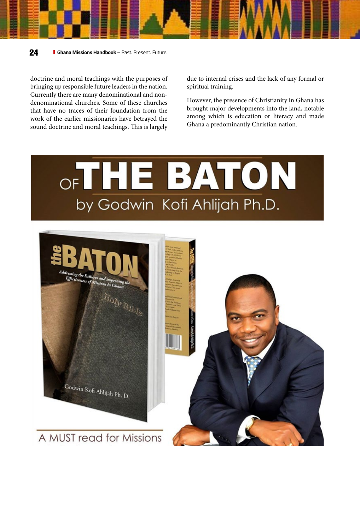

**24 Ghana Missions Handbook** – Past. Present. Future.

doctrine and moral teachings with the purposes of bringing up responsible future leaders in the nation. Currently there are many denominational and nondenominational churches. Some of these churches that have no traces of their foundation from the work of the earlier missionaries have betrayed the sound doctrine and moral teachings. This is largely

due to internal crises and the lack of any formal or spiritual training.

However, the presence of Christianity in Ghana has brought major developments into the land, notable among which is education or literacy and made Ghana a predominantly Christian nation.

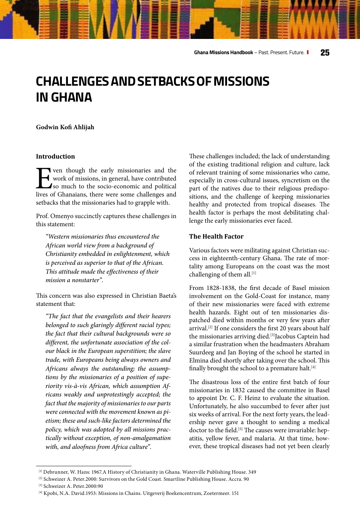## **CHALLENGES AND SETBACKS OF MISSIONS IN GHANA**

#### **Godwin Kofi Ahlijah**

#### **Introduction**

**Even though the early missionaries and the work of missions, in general, have contributed so much to the socio-economic and political lives of Ghanaians, there were some challenges and** work of missions, in general, have contributed so much to the socio-economic and political lives of Ghanaians, there were some challenges and setbacks that the missionaries had to grapple with.

Prof. Omenyo succinctly captures these challenges in this statement:

*"Western missionaries thus encountered the African world view from a background of Christianity embedded in enlightenment, which is perceived as superior to that of the African. This attitude made the effectiveness of their mission a nonstarter".*

This concern was also expressed in Christian Baeta's statement that:

*"The fact that the evangelists and their hearers belonged to such glaringly different racial types; the fact that their cultural backgrounds were so different, the unfortunate association of the colour black in the European superstition; the slave trade, with Europeans being always owners and Africans always the outstanding; the assumptions by the missionaries of a position of superiority vis-à-vis African, which assumption Africans weakly and unprotestingly accepted; the fact that the majority of missionaries to our parts were connected with the movement known as pietism; these and such-like factors determined the policy, which was adopted by all missions practically without exception, of non-amalgamation with, and aloofness from Africa culture".*

These challenges included; the lack of understanding of the existing traditional religion and culture, lack of relevant training of some missionaries who came, especially in cross-cultural issues, syncretism on the part of the natives due to their religious predispositions, and the challenge of keeping missionaries healthy and protected from tropical diseases. The health factor is perhaps the most debilitating challenge the early missionaries ever faced.

#### **The Health Factor**

Various factors were militating against Christian success in eighteenth-century Ghana. The rate of mortality among Europeans on the coast was the most challenging of them all.[1]

From 1828-1838, the first decade of Basel mission involvement on the Gold-Coast for instance, many of their new missionaries were faced with extreme health hazards. Eight out of ten missionaries dispatched died within months or very few years after arrival.[2] If one considers the first 20 years about half the missionaries arriving died.<sup>[3]</sup>Jacobus Captein had a similar frustration when the headmasters Abraham Suurdeeg and Jan Boying of the school he started in Elmina died shortly after taking over the school. This finally brought the school to a premature halt.<sup>[4]</sup>

The disastrous loss of the entire first batch of four missionaries in 1832 caused the committee in Basel to appoint Dr. C. F. Heinz to evaluate the situation. Unfortunately, he also succumbed to fever after just six weeks of arrival. For the next forty years, the leadership never gave a thought to sending a medical doctor to the field.<sup>[5]</sup> The causes were invariable: hepatitis, yellow fever, and malaria. At that time, however, these tropical diseases had not yet been clearly

<sup>[1]</sup> Debrunner, W. Hans: 1967.A History of Christianity in Ghana. Waterville Publishing House. 349

<sup>[2]</sup> Schweizer A. Peter.2000: Survivors on the Gold Coast. Smartline Publishing House. Accra. 90

<sup>[3]</sup> Schweizer A. Peter.2000:90

<sup>[4]</sup> Kpobi, N.A. David.1953: Missions in Chains. Uitgeverij Boekencentrum, Zoetermeer. 151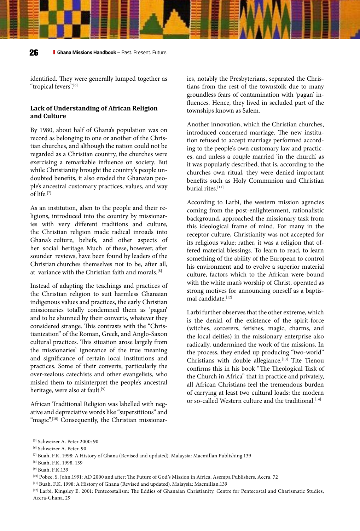identified. They were generally lumped together as "tropical fevers".[6]

#### **Lack of Understanding of African Religion and Culture**

By 1980, about half of Ghana's population was on record as belonging to one or another of the Christian churches, and although the nation could not be regarded as a Christian country, the churches were exercising a remarkable influence on society. But while Christianity brought the country's people undoubted benefits, it also eroded the Ghanaian people's ancestral customary practices, values, and way of life.[7]

As an institution, alien to the people and their religions, introduced into the country by missionaries with very different traditions and culture, the Christian religion made radical inroads into Ghana's culture, beliefs, and other aspects of her social heritage. Much of these, however, after sounder reviews, have been found by leaders of the Christian churches themselves not to be, after all, at variance with the Christian faith and morals.[8]

Instead of adapting the teachings and practices of the Christian religion to suit harmless Ghanaian indigenous values and practices, the early Christian missionaries totally condemned them as 'pagan' and to be shunned by their converts, whatever they considered strange. This contrasts with the "Christianization" of the Roman, Greek, and Anglo-Saxon cultural practices. This situation arose largely from the missionaries' ignorance of the true meaning and significance of certain local institutions and practices. Some of their converts, particularly the over-zealous catechists and other evangelists, who misled them to misinterpret the people's ancestral heritage, were also at fault.<sup>[9]</sup>

African Traditional Religion was labelled with negative and depreciative words like "superstitious" and "magic".<sup>[10]</sup> Consequently, the Christian missionaries, notably the Presbyterians, separated the Christians from the rest of the townsfolk due to many groundless fears of contamination with 'pagan' influences. Hence, they lived in secluded part of the townships known as Salem.

Another innovation, which the Christian churches, introduced concerned marriage. The new institution refused to accept marriage performed according to the people's own customary law and practices, and unless a couple married 'in the church', as it was popularly described, that is, according to the churches own ritual, they were denied important benefits such as Holy Communion and Christian burial rites.[11]

According to Larbi, the western mission agencies coming from the post-enlightenment, rationalistic background, approached the missionary task from this ideological frame of mind. For many in the receptor culture, Christianity was not accepted for its religious value; rather, it was a religion that offered material blessings. To learn to read, to learn something of the ability of the European to control his environment and to evolve a superior material culture, factors which to the African were bound with the white man's worship of Christ, operated as strong motives for announcing oneself as a baptismal candidate.<sup>[12]</sup>

Larbi further observes that the other extreme, which is the denial of the existence of the spirit-force (witches, sorcerers, fetishes, magic, charms, and the local deities) in the missionary enterprise also radically, undermined the work of the missions. In the process, they ended up producing "two-world" Christians with double allegiance.[13] Tite Tienou confirms this in his book "The Theological Task of the Church in Africa" that in practice and privately, all African Christians feel the tremendous burden of carrying at least two cultural loads: the modern or so-called Western culture and the traditional.<sup>[14]</sup>

<sup>[5]</sup> Schweizer A. Peter.2000: 90

<sup>[6]</sup> Schweizer A. Peter. 90

 $^{[7]}$  Buah, F.K. 1998: A History of Ghana (Revised and updated). Malaysia: Macmillan Publishing.139

<sup>[8]</sup> Buah, F.K. 1998. 139

<sup>[9]</sup> Buah, F.K.139

<sup>[10]</sup> Pobee, S. John.1991: AD 2000 and after; The Future of God's Mission in Africa. Asempa Publishers. Accra. 72

<sup>[11]</sup> Buah, F.K. 1998: A History of Ghana (Revised and updated). Malaysia: Macmillan.139

<sup>[12]</sup> Larbi, Kingsley E. 2001: Pentecostalism: The Eddies of Ghanaian Christianity. Centre for Pentecostal and Charismatic Studies, Accra-Ghana. 29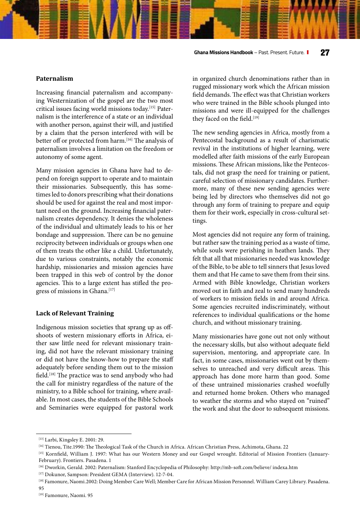**Ghana Missions Handbook** – Past. Present. Future. **27**

#### **Paternalism**

Increasing financial paternalism and accompanying Westernization of the gospel are the two most critical issues facing world missions today.[15] Paternalism is the interference of a state or an individual with another person, against their will, and justified by a claim that the person interfered with will be better off or protected from harm.<sup>[16]</sup> The analysis of paternalism involves a limitation on the freedom or autonomy of some agent.

Many mission agencies in Ghana have had to depend on foreign support to operate and to maintain their missionaries. Subsequently, this has sometimes led to donors prescribing what their donations should be used for against the real and most important need on the ground. Increasing financial paternalism creates dependency. It denies the wholeness of the individual and ultimately leads to his or her bondage and suppression. There can be no genuine reciprocity between individuals or groups when one of them treats the other like a child. Unfortunately, due to various constraints, notably the economic hardship, missionaries and mission agencies have been trapped in this web of control by the donor agencies. This to a large extent has stifled the progress of missions in Ghana.<sup>[17]</sup>

#### **Lack of Relevant Training**

Indigenous mission societies that sprang up as offshoots of western missionary efforts in Africa, either saw little need for relevant missionary training, did not have the relevant missionary training or did not have the know-how to prepare the staff adequately before sending them out to the mission field.[18] The practice was to send anybody who had the call for ministry regardless of the nature of the ministry, to a Bible school for training, where available. In most cases, the students of the Bible Schools and Seminaries were equipped for pastoral work in organized church denominations rather than in rugged missionary work which the African mission field demands. The effect was that Christian workers who were trained in the Bible schools plunged into missions and were ill-equipped for the challenges they faced on the field.[19]

The new sending agencies in Africa, mostly from a Pentecostal background as a result of charismatic revival in the institutions of higher learning, were modelled after faith missions of the early European missions. These African missions, like the Pentecostals, did not grasp the need for training or patient, careful selection of missionary candidates. Furthermore, many of these new sending agencies were being led by directors who themselves did not go through any form of training to prepare and equip them for their work, especially in cross-cultural settings.

Most agencies did not require any form of training, but rather saw the training period as a waste of time, while souls were perishing in heathen lands. They felt that all that missionaries needed was knowledge of the Bible, to be able to tell sinners that Jesus loved them and that He came to save them from their sins. Armed with Bible knowledge, Christian workers moved out in faith and zeal to send many hundreds of workers to mission fields in and around Africa. Some agencies recruited indiscriminately, without references to individual qualifications or the home church, and without missionary training.

Many missionaries have gone out not only without the necessary skills, but also without adequate field supervision, mentoring, and appropriate care. In fact, in some cases, missionaries went out by themselves to unreached and very difficult areas. This approach has done more harm than good. Some of these untrained missionaries crashed woefully and returned home broken. Others who managed to weather the storms and who stayed on "ruined" the work and shut the door to subsequent missions.

95

<sup>[13]</sup> Larbi, Kingsley E. 2001: 29.

<sup>[14]</sup> Tienou, Tite.1990: The Theological Task of the Church in Africa. African Christian Press, Achimota, Ghana. 22

<sup>[15]</sup> Kornfield, William J. 1997: What has our Western Money and our Gospel wrought. Editorial of Mission Frontiers (January-February). Frontiers. Pasadena. 1

<sup>[16]</sup> Dworkin, Gerald. 2002: Paternalism: Stanford Encyclopedia of Philosophy: http://mb-soft.com/believe/ indexa.htm

<sup>[17]</sup> Dokunor, Sampson: President GEMA (Interview). 12-7-04.

<sup>[18]</sup> Famonure, Naomi.2002: Doing Member Care Well; Member Care for African Mission Personnel. William Carey Library. Pasadena.

<sup>[19]</sup> Famonure, Naomi. 95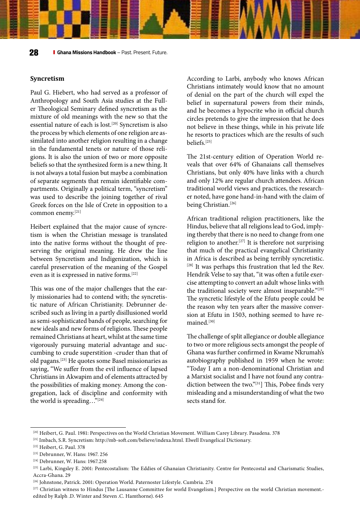#### **Syncretism**

Paul G. Hiebert, who had served as a professor of Anthropology and South Asia studies at the Fuller Theological Seminary defined syncretism as the mixture of old meanings with the new so that the essential nature of each is lost.[20] Syncretism is also the process by which elements of one religion are assimilated into another religion resulting in a change in the fundamental tenets or nature of those religions. It is also the union of two or more opposite beliefs so that the synthesized form is a new thing. It is not always a total fusion but maybe a combination of separate segments that remain identifiable compartments. Originally a political term, "syncretism" was used to describe the joining together of rival Greek forces on the Isle of Crete in opposition to a common enemy.[21]

Heibert explained that the major cause of syncretism is when the Christian message is translated into the native forms without the thought of preserving the original meaning. He drew the line between Syncretism and Indigenization, which is careful preservation of the meaning of the Gospel even as it is expressed in native forms.[22]

This was one of the major challenges that the early missionaries had to contend with; the syncretistic nature of African Christianity. Debrunner described such as living in a partly disillusioned world as semi-sophisticated bands of people, searching for new ideals and new forms of religions. These people remained Christians at heart, whilst at the same time vigorously pursuing material advantage and succumbing to crude superstition -cruder than that of old pagans.[23] He quotes some Basel missionaries as saying, "We suffer from the evil influence of lapsed Christians in Akwapim and of elements attracted by the possibilities of making money. Among the congregation, lack of discipline and conformity with the world is spreading…"[24]

According to Larbi, anybody who knows African Christians intimately would know that no amount of denial on the part of the church will expel the belief in supernatural powers from their minds, and he becomes a hypocrite who in official church circles pretends to give the impression that he does not believe in these things, while in his private life he resorts to practices which are the results of such beliefs.[25]

The 21st-century edition of Operation World reveals that over 64% of Ghanaians call themselves Christians, but only 40% have links with a church and only 12% are regular church attendees. African traditional world views and practices, the researcher noted, have gone hand-in-hand with the claim of being Christian.<sup>[26]</sup>

African traditional religion practitioners, like the Hindus, believe that all religions lead to God, implying thereby that there is no need to change from one religion to another.[27] It is therefore not surprising that much of the practical evangelical Christianity in Africa is described as being terribly syncretistic. [28] It was perhaps this frustration that led the Rev. Hendrik Velse to say that, "it was often a futile exercise attempting to convert an adult whose links with the traditional society were almost inseparable."<sup>[29]</sup> The syncretic lifestyle of the Efutu people could be the reason why ten years after the massive conversion at Efutu in 1503, nothing seemed to have remained.[30]

The challenge of split allegiance or double allegiance to two or more religious sects amongst the people of Ghana was further confirmed in Kwame Nkrumah's autobiography published in 1959 when he wrote: "Today I am a non-denominational Christian and a Marxist socialist and I have not found any contradiction between the two."[31] This, Pobee finds very misleading and a misunderstanding of what the two sects stand for.

<sup>[20]</sup> Heibert, G. Paul. 1981: Perspectives on the World Christian Movement. William Carey Library. Pasadena. 378

<sup>[21]</sup> Imbach, S.R. Syncretism: http://mb-soft.com/believe/indexa.html. Elwell Evangelical Dictionary.

<sup>[22]</sup> Heibert, G. Paul. 378

<sup>[23]</sup> Debrunner, W. Hans: 1967. 256

<sup>[24]</sup> Debrunner, W. Hans: 1967.258

<sup>[25]</sup> Larbi, Kingsley E. 2001: Pentecostalism: The Eddies of Ghanaian Christianity. Centre for Pentecostal and Charismatic Studies, Accra-Ghana. 29

<sup>[26]</sup> Johnstone, Patrick. 2001: Operation World. Paternoster Lifestyle. Cumbria. 274

<sup>[27]</sup> Christian witness to Hindus [The Lausanne Committee for world Evangelism.] Perspective on the world Christian movement.edited by Ralph .D. Winter and Steven .C. Hamthorne). 645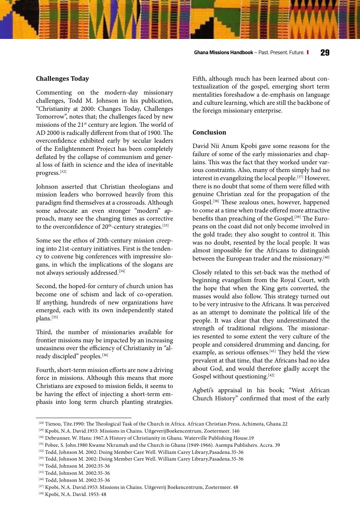#### **Challenges Today**

Commenting on the modern-day missionary challenges, Todd M. Johnson in his publication, "Christianity at 2000: Changes Today, Challenges Tomorrow", notes that; the challenges faced by new missions of the 21st century are legion. The world of AD 2000 is radically different from that of 1900. The overconfidence exhibited early by secular leaders of the Enlightenment Project has been completely deflated by the collapse of communism and general loss of faith in science and the idea of inevitable progress.[32]

Johnson asserted that Christian theologians and mission leaders who borrowed heavily from this paradigm find themselves at a crossroads. Although some advocate an even stronger "modern" approach, many see the changing times as corrective to the overconfidence of 20<sup>th</sup>-century strategies.<sup>[33]</sup>

Some see the ethos of 20th-century mission creeping into 21st-century initiatives. First is the tendency to convene big conferences with impressive slogans, in which the implications of the slogans are not always seriously addressed.<sup>[34]</sup>

Second, the hoped-for century of church union has become one of schism and lack of co-operation. If anything, hundreds of new organizations have emerged, each with its own independently stated plans.[35]

Third, the number of missionaries available for frontier missions may be impacted by an increasing uneasiness over the efficiency of Christianity in "already discipled" peoples.[36]

Fourth, short-term mission efforts are now a driving force in missions. Although this means that more Christians are exposed to mission fields, it seems to be having the effect of injecting a short-term emphasis into long term church planting strategies.

Fifth, although much has been learned about contextualization of the gospel, emerging short term mentalities foreshadow a de-emphasis on language and culture learning, which are still the backbone of the foreign missionary enterprise.

#### **Conclusion**

David Nii Anum Kpobi gave some reasons for the failure of some of the early missionaries and chaplains. This was the fact that they worked under various constraints. Also, many of them simply had no interest in evangelizing the local people.[37] However, there is no doubt that some of them were filled with genuine Christian zeal for the propagation of the Gospel.[38] These zealous ones, however, happened to come at a time when trade offered more attractive benefits than preaching of the Gospel.<sup>[39]</sup> The Europeans on the coast did not only become involved in the gold trade; they also sought to control it. This was no doubt, resented by the local people. It was almost impossible for the Africans to distinguish between the European trader and the missionary.<sup>[40]</sup>

Closely related to this set-back was the method of beginning evangelism from the Royal Court, with the hope that when the King gets converted, the masses would also follow. This strategy turned out to be very intrusive to the Africans. It was perceived as an attempt to dominate the political life of the people. It was clear that they underestimated the strength of traditional religions. The missionaries resented to some extent the very culture of the people and considered drumming and dancing, for example, as serious offenses.<sup>[41]</sup> They held the view prevalent at that time, that the Africans had no idea about God, and would therefore gladly accept the Gospel without questioning.<sup>[42]</sup>

Agbeti's appraisal in his book; "West African Church History" confirmed that most of the early

<sup>[28]</sup> Tienou, Tite.1990: The Theological Task of the Church in Africa. African Christian Press, Achimota, Ghana.22

<sup>[29]</sup> Kpobi, N.A. David.1953: Missions in Chains. UitgeverijBoekencentrum, Zoetermeer. 146

<sup>[30]</sup> Debrunner, W. Hans: 1967.A History of Christianity in Ghana. Waterville Publishing House.19

<sup>[31]</sup> Pobee, S. John.1980 Kwame Nkrumah and the Church in Ghana (1949-1966). Asempa Publishers. Accra. 39

<sup>[32]</sup> Todd, Johnson M. 2002: Doing Member Care Well. William Carey Library, Pasadena.35-36

<sup>[33]</sup> Todd, Johnson M. 2002: Doing Member Care Well. William Carey Library, Pasadena.35-36

<sup>[34]</sup> Todd, Johnson M. 2002:35-36

<sup>[35]</sup> Todd, Johnson M. 2002:35-36

<sup>[36]</sup> Todd, Johnson M. 2002:35-36

<sup>[37]</sup> Kpobi, N.A. David.1953: Missions in Chains. Uitgeverij Boekencentrum, Zoetermeer. 48

<sup>[38]</sup> Kpobi, N.A. David. 1953: 48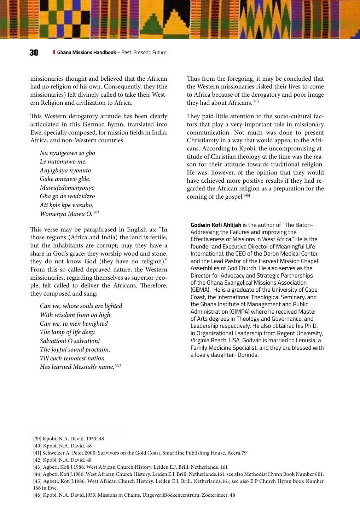missionaries thought and believed that the African had no religion of his own. Consequently, they (the missionaries) felt divinely called to take their Western Religion and civilization to Africa.

This Western derogatory attitude has been clearly articulated in this German hymn, translated into Ewe, specially composed, for mission fields in India, Africa, and non-Western countries.

*Nu nyuigeowo so gbo Le nutomawo me. Anyigbaya nyonuto Gake ameawo gble. Mawufedomenyonyo Gba go de wodzidzro Ati kple kpe wosubo, Womenya Mawu O.[43]*

This verse may be paraphrased in English as: "In those regions (Africa and India) the land is fertile, but the inhabitants are corrupt; may they have a share in God's grace; they worship wood and stone, they do not know God (they have no religion)." From this so-called depraved nature, the Western missionaries, regarding themselves as superior people, felt called to deliver the Africans. Therefore, they composed and sang:

*Can we, whose souls are lighted With wisdom from on high. Can we, to men benighted The lamp of life deny. Salvation! O salvation! The joyful sound proclaim, Till each remotest nation Has learned Messiah's name.[44]*

Thus from the foregoing, it may be concluded that the Western missionaries risked their lives to come to Africa because of the derogatory and poor image they had about Africans.<sup>[45]</sup>

They paid little attention to the socio-cultural factors that play a very important role in missionary communication. Not much was done to present Christianity in a way that would appeal to the Africans. According to Kpobi, the uncompromising attitude of Christian theology at the time was the reason for their attitude towards traditional religion. He was, however, of the opinion that they would have achieved more positive results if they had regarded the African religion as a preparation for the coming of the gospel.<sup>[46]</sup>

**Godwin Kofi Ahlijah** is the author of "The Baton-Addressing the Failures and improving the Effectiveness of Missions in West Africa." He is the founder and Executive Director of Meaningful Life International, the CEO of the Doron Medical Center, and the Lead Pastor of the Harvest Mission Chapel Assemblies of God Church. He also serves as the Director for Advocacy and Strategic Partnerships of the Ghana Evangelical Missions Association (GEMA). He is a graduate of the University of Cape Coast, the International Theological Seminary, and the Ghana Institute of Management and Public Administration (GIMPA) where he received Master of Arts degrees in Theology and Governance, and Leadership respectively. He also obtained his Ph.D. in Organizational Leadership from Regent University, Virginia Beach, USA. Godwin is married to Lenusia, a Family Medicine Specialist, and they are blessed with a lovely daughter- Dorinda.

<sup>[39]</sup> Kpobi, N.A. David. 1953: 48

<sup>[40]</sup> Kpobi, N.A. David. 48

<sup>[41]</sup> Schweizer A. Peter.2000: Survivors on the Gold Coast. Smartline Publishing House. Accra.79

<sup>[42]</sup> Kpobi, N.A. David. 48

<sup>[43]</sup> Agbeti, Kofi J.1986: West African Church History. Leiden E.J. Brill. Netherlands. 161

<sup>[44]</sup> Agbeti, Kofi J.1986: West African Church History. Leiden E.J. Brill. Netherlands.161; see also Methodist Hymn Book Number 801. [45] Agbeti, Kofi J.1986: West African Church History. Leiden E.J. Brill. Netherlands.161; see also E.P Church Hymn book Number 166 in Ewe.

<sup>[46]</sup> Kpobi, N.A. David.1953: Missions in Chains. UitgeverijBoekencentrum, Zoetermeer. 48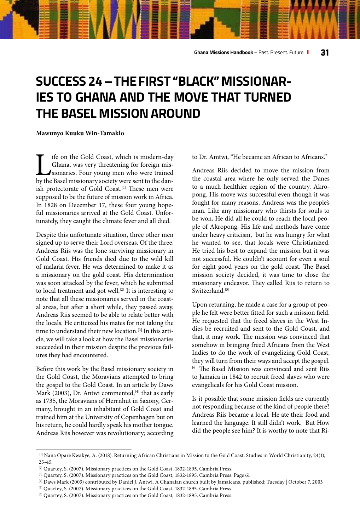## **SUCCESS 24 – THE FIRST "BLACK" MISSIONAR-IES TO GHANA AND THE MOVE THAT TURNED THE BASEL MISSION AROUND**

#### **Mawunyo Kuuku Win-Tamaklo**

If if on the Gold Coast, which is modern-day Ghana, was very threatening for foreign missionaries. Four young men who were trained by the Basel missionary society were sent to the dan-Ghana, was very threatening for foreign missionaries. Four young men who were trained ish protectorate of Gold Coast.<sup>[1]</sup> These men were supposed to be the future of mission work in Africa. In 1828 on December 17, these four young hopeful missionaries arrived at the Gold Coast. Unfortunately, they caught the climate fever and all died.

Despite this unfortunate situation, three other men signed up to serve their Lord overseas. Of the three, Andreas Riis was the lone surviving missionary in Gold Coast. His friends died due to the wild kill of malaria fever. He was determined to make it as a missionary on the gold coast. His determination was soon attacked by the fever, which he submitted to local treatment and got well.<sup>[2]</sup> It is interesting to note that all these missionaries served in the coastal areas, but after a short while, they passed away. Andreas Riis seemed to be able to relate better with the locals. He criticized his mates for not taking the time to understand their new location.[3] In this article, we will take a look at how the Basel missionaries succeeded in their mission despite the previous failures they had encountered.

Before this work by the Basel missionary society in the Gold Coast, the Moravians attempted to bring the gospel to the Gold Coast. In an article by Daws Mark (2003), Dr. Antwi commented,  $[4]$  that as early as 1735, the Moravians of Herrnhut in Saxony, Germany, brought in an inhabitant of Gold Coast and trained him at the University of Copenhagen but on his return, he could hardly speak his mother tongue. Andreas Riis however was revolutionary; according

to Dr. Amtwi, "He became an African to Africans."

Andreas Riis decided to move the mission from the coastal area where he only served the Danes to a much healthier region of the country, Akropong. His move was successful even though it was fought for many reasons. Andreas was the people's man. Like any missionary who thirsts for souls to be won, He did all he could to reach the local people of Akropong. His life and methods have come under heavy criticism, but he was hungry for what he wanted to see, that locals were Christianized. He tried his best to expand the mission but it was not successful. He couldn't account for even a soul for eight good years on the gold coast. The Basel mission society decided, it was time to close the missionary endeavor. They called Riis to return to Switzerland.<sup>[5]</sup>

Upon returning, he made a case for a group of people he felt were better fitted for such a mission field. He requested that the freed slaves in the West Indies be recruited and sent to the Gold Coast, and that, it may work. The mission was convinced that somehow in bringing freed Africans from the West Indies to do the work of evangelizing Gold Coast, they will turn from their ways and accept the gospel. [6] The Basel Mission was convinced and sent Riis to Jamaica in 1842 to recruit freed slaves who were evangelicals for his Gold Coast mission.

Is it possible that some mission fields are currently not responding because of the kind of people there? Andreas Riis became a local. He ate their food and learned the language. It still didn't work. But How did the people see him? It is worthy to note that Ri-

 <sup>[1]</sup> Nana Opare Kwakye, A. (2018). Returning African Christians in Mission to the Gold Coast. Studies in World Christianity, 24(1), 25-45.

<sup>[2]</sup> Quartey, S. (2007). Missionary practices on the Gold Coast, 1832-1895. Cambria Press.

<sup>[3]</sup> Quartey, S. (2007). Missionary practices on the Gold Coast, 1832-1895. Cambria Press. Page 61

<sup>[4]</sup> Daws Mark (2003) contributed by Daniel J. Antwi. A Ghanaian church built by Jamaicans. published: Tuesday | October 7, 2003

<sup>[5]</sup> Quartey, S. (2007). Missionary practices on the Gold Coast, 1832-1895. Cambria Press.

<sup>[6]</sup> Quartey, S. (2007). Missionary practices on the Gold Coast, 1832-1895. Cambria Press.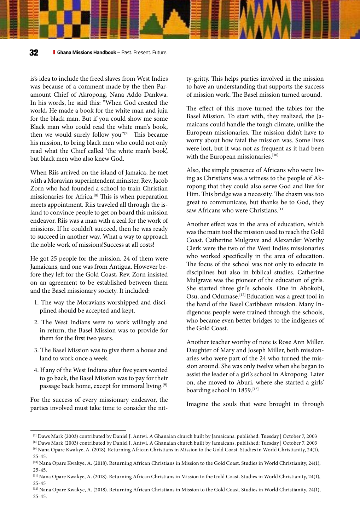is's idea to include the freed slaves from West Indies was because of a comment made by the then Paramount Chief of Akropong, Nana Addo Dankwa. In his words, he said this: "When God created the world, He made a book for the white man and juju for the black man. But if you could show me some Black man who could read the white man's book, then we would surely follow you"<sup>[7]</sup> This became his mission, to bring black men who could not only read what the Chief called 'the white man's book', but black men who also knew God.

When Riis arrived on the island of Jamaica, he met with a Moravian superintendent minister, Rev. Jacob Zorn who had founded a school to train Christian missionaries for Africa.[8] This is when preparation meets appointment. Riis traveled all through the island to convince people to get on board this mission endeavor. Riis was a man with a zeal for the work of missions. If he couldn't succeed, then he was ready to succeed in another way. What a way to approach the noble work of missions!Success at all costs!

He got 25 people for the mission. 24 of them were Jamaicans, and one was from Antigua. However before they left for the Gold Coast, Rev. Zorn insisted on an agreement to be established between them and the Basel missionary society. It included:

- 1. The way the Moravians worshipped and disciplined should be accepted and kept.
- 2. The West Indians were to work willingly and in return, the Basel Mission was to provide for them for the first two years.
- 3. The Basel Mission was to give them a house and land to work once a week.
- 4. If any of the West Indians after five years wanted to go back, the Basel Mission was to pay for their passage back home, except for immoral living.<sup>[9]</sup>

For the success of every missionary endeavor, the parties involved must take time to consider the nitty-gritty. This helps parties involved in the mission to have an understanding that supports the success of mission work. The Basel mission turned around.

The effect of this move turned the tables for the Basel Mission. To start with, they realized, the Jamaicans could handle the tough climate, unlike the European missionaries. The mission didn't have to worry about how fatal the mission was. Some lives were lost, but it was not as frequent as it had been with the European missionaries.<sup>[10]</sup>

Also, the simple presence of Africans who were living as Christians was a witness to the people of Akropong that they could also serve God and live for Him. This bridge was a necessity. The chasm was too great to communicate, but thanks be to God, they saw Africans who were Christians.<sup>[11]</sup>

Another effect was in the area of education, which was the main tool the mission used to reach the Gold Coast. Catherine Mulgrave and Alexander Worthy Clerk were the two of the West Indies missionaries who worked specifically in the area of education. The focus of the school was not only to educate in disciplines but also in biblical studies. Catherine Mulgrave was the pioneer of the education of girls. She started three girl's schools. One in Abokobi, Osu, and Odumase.[12] Education was a great tool in the hand of the Basel Caribbean mission. Many Indigenous people were trained through the schools, who became even better bridges to the indigenes of the Gold Coast.

Another teacher worthy of note is Rose Ann Miller. Daughter of Mary and Joseph Miller, both missionaries who were part of the 24 who turned the mission around. She was only twelve when she began to assist the leader of a girl's school in Akropong. Later on, she moved to Aburi, where she started a girls' boarding school in 1859.[13]

Imagine the souls that were brought in through

<sup>[7]</sup> Daws Mark (2003) contributed by Daniel J. Antwi. A Ghanaian church built by Jamaicans. published: Tuesday | October 7, 2003

<sup>[8]</sup> Daws Mark (2003) contributed by Daniel J. Antwi. A Ghanaian church built by Jamaicans. published: Tuesday | October 7, 2003

<sup>[9]</sup> Nana Opare Kwakye, A. (2018). Returning African Christians in Mission to the Gold Coast. Studies in World Christianity, 24(1), 25-45.

<sup>[10]</sup> Nana Opare Kwakye, A. (2018). Returning African Christians in Mission to the Gold Coast. Studies in World Christianity, 24(1), 25-45.

<sup>[11]</sup> Nana Opare Kwakye, A. (2018). Returning African Christians in Mission to the Gold Coast. Studies in World Christianity, 24(1), 25-45

<sup>[12]</sup> Nana Opare Kwakye, A. (2018). Returning African Christians in Mission to the Gold Coast. Studies in World Christianity, 24(1), 25-45.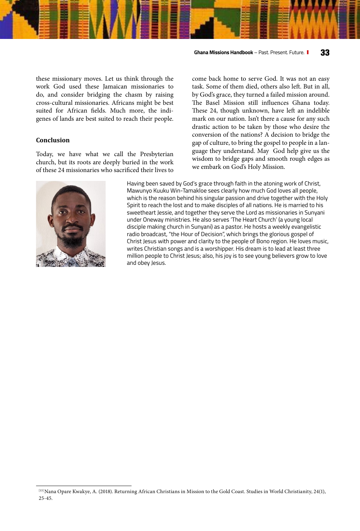#### **Ghana Missions Handbook** – Past. Present. Future. **33**

these missionary moves. Let us think through the work God used these Jamaican missionaries to do, and consider bridging the chasm by raising cross-cultural missionaries. Africans might be best suited for African fields. Much more, the indigenes of lands are best suited to reach their people.

#### **Conclusion**

Today, we have what we call the Presbyterian church, but its roots are deeply buried in the work of these 24 missionaries who sacrificed their lives to



come back home to serve God. It was not an easy task. Some of them died, others also left. But in all, by God's grace, they turned a failed mission around. The Basel Mission still influences Ghana today. These 24, though unknown, have left an indelible mark on our nation. Isn't there a cause for any such drastic action to be taken by those who desire the conversion of the nations? A decision to bridge the gap of culture, to bring the gospel to people in a language they understand. May God help give us the wisdom to bridge gaps and smooth rough edges as we embark on God's Holy Mission.

Having been saved by God's grace through faith in the atoning work of Christ, Mawunyo Kuuku Win-Tamakloe sees clearly how much God loves all people, which is the reason behind his singular passion and drive together with the Holy Spirit to reach the lost and to make disciples of all nations. He is married to his sweetheart Jessie, and together they serve the Lord as missionaries in Sunyani under Oneway ministries. He also serves 'The Heart Church' (a young local disciple making church in Sunyani) as a pastor. He hosts a weekly evangelistic radio broadcast, "the Hour of Decision", which brings the glorious gospel of Christ Jesus with power and clarity to the people of Bono region. He loves music, writes Christian songs and is a worshipper. His dream is to lead at least three million people to Christ Jesus; also, his joy is to see young believers grow to love and obey Jesus.

<sup>[13]</sup> Nana Opare Kwakye, A. (2018). Returning African Christians in Mission to the Gold Coast. Studies in World Christianity, 24(1), 25-45.